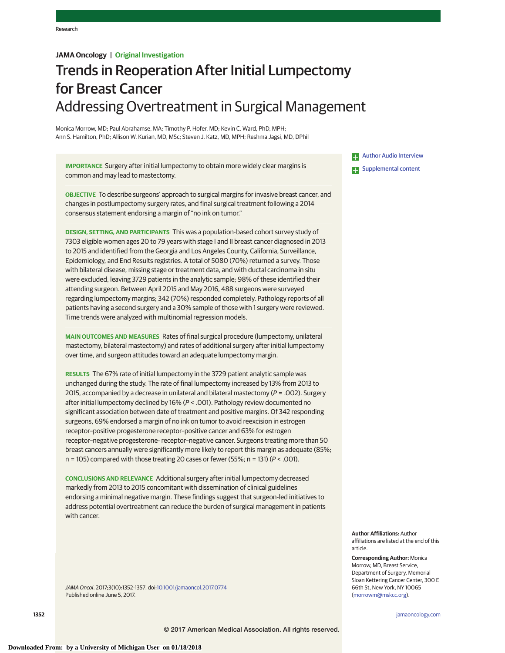# **JAMA Oncology | Original Investigation**

# Trends in Reoperation After Initial Lumpectomy for Breast Cancer Addressing Overtreatment in Surgical Management

Monica Morrow, MD; Paul Abrahamse, MA; Timothy P. Hofer, MD; Kevin C. Ward, PhD, MPH; Ann S. Hamilton, PhD; Allison W. Kurian, MD, MSc; Steven J. Katz, MD, MPH; Reshma Jagsi, MD, DPhil

**IMPORTANCE** Surgery after initial lumpectomy to obtain more widely clear margins is common and may lead to mastectomy.

**OBJECTIVE** To describe surgeons' approach to surgical margins for invasive breast cancer, and changes in postlumpectomy surgery rates, and final surgical treatment following a 2014 consensus statement endorsing a margin of "no ink on tumor."

**DESIGN, SETTING, AND PARTICIPANTS** This was a population-based cohort survey study of 7303 eligible women ages 20 to 79 years with stage I and II breast cancer diagnosed in 2013 to 2015 and identified from the Georgia and Los Angeles County, California, Surveillance, Epidemiology, and End Results registries. A total of 5080 (70%) returned a survey. Those with bilateral disease, missing stage or treatment data, and with ductal carcinoma in situ were excluded, leaving 3729 patients in the analytic sample; 98% of these identified their attending surgeon. Between April 2015 and May 2016, 488 surgeons were surveyed regarding lumpectomy margins; 342 (70%) responded completely. Pathology reports of all patients having a second surgery and a 30% sample of those with 1 surgery were reviewed. Time trends were analyzed with multinomial regression models.

**MAIN OUTCOMES AND MEASURES** Rates of final surgical procedure (lumpectomy, unilateral mastectomy, bilateral mastectomy) and rates of additional surgery after initial lumpectomy over time, and surgeon attitudes toward an adequate lumpectomy margin.

**RESULTS** The 67% rate of initial lumpectomy in the 3729 patient analytic sample was unchanged during the study. The rate of final lumpectomy increased by 13% from 2013 to 2015, accompanied by a decrease in unilateral and bilateral mastectomy ( $P = .002$ ). Surgery after initial lumpectomy declined by 16% (P < .001). Pathology review documented no significant association between date of treatment and positive margins. Of 342 responding surgeons, 69% endorsed a margin of no ink on tumor to avoid reexcision in estrogen receptor–positive progesterone receptor–positive cancer and 63% for estrogen receptor–negative progesterone- receptor–negative cancer. Surgeons treating more than 50 breast cancers annually were significantly more likely to report this margin as adequate (85%;  $n = 105$ ) compared with those treating 20 cases or fewer (55%;  $n = 131$ ) ( $P < .001$ ).

**CONCLUSIONS AND RELEVANCE** Additional surgery after initial lumpectomy decreased markedly from 2013 to 2015 concomitant with dissemination of clinical guidelines endorsing a minimal negative margin. These findings suggest that surgeon-led initiatives to address potential overtreatment can reduce the burden of surgical management in patients with cancer.

JAMA Oncol. 2017;3(10):1352-1357. doi[:10.1001/jamaoncol.2017.0774](http://jama.jamanetwork.com/article.aspx?doi=10.1001/jamaoncol.2017.0774&utm_campaign=articlePDF%26utm_medium=articlePDFlink%26utm_source=articlePDF%26utm_content=jamaoncol.2017.0774) Published online June 5, 2017.

**Example 2** [Author Audio Interview](http://jama.jamanetwork.com/article.aspx?doi=10.1001/jamaoncol.2017.0774&utm_campaign=articlePDF%26utm_medium=articlePDFlink%26utm_source=articlePDF%26utm_content=jamaoncol.2017.0774) **Examplemental content** 

**Author Affiliations:** Author affiliations are listed at the end of this article.

**Corresponding Author:** Monica Morrow, MD, Breast Service, Department of Surgery, Memorial Sloan Kettering Cancer Center, 300 E 66th St, New York, NY 10065 [\(morrowm@mskcc.org\)](mailto:morrowm@mskcc.org).

**1352 (Reprinted)** [jamaoncology.com](http://www.jamaoncology.com/?utm_campaign=articlePDF%26utm_medium=articlePDFlink%26utm_source=articlePDF%26utm_content=jamaoncol.2017.0774)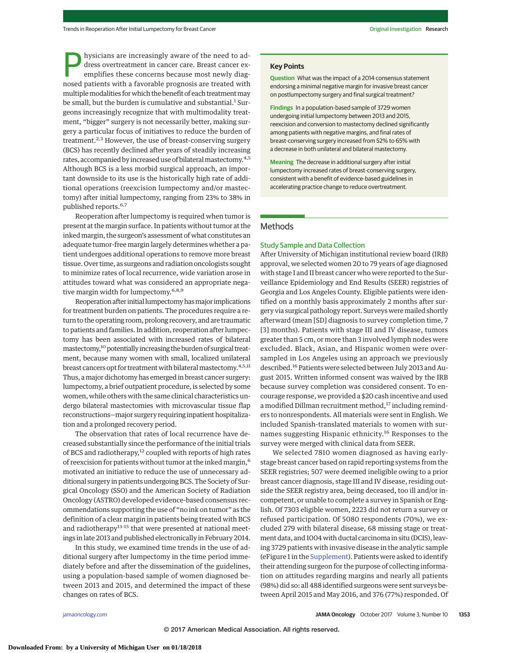hysicians are increasingly aware of the need to address overtreatment in cancer care. Breast cancer exemplifies these concerns because most newly diagnosed patients with a favorable prognosis are treated with multiple modalities for which the benefit of each treatment may be small, but the burden is cumulative and substantial.<sup>1</sup> Surgeons increasingly recognize that with multimodality treatment, "bigger" surgery is not necessarily better, making surgery a particular focus of initiatives to reduce the burden of treatment.<sup>2,3</sup> However, the use of breast-conserving surgery (BCS) has recently declined after years of steadily increasing rates, accompanied by increased use of bilateral mastectomy.<sup>4,5</sup> Although BCS is a less morbid surgical approach, an important downside to its use is the historically high rate of additional operations (reexcision lumpectomy and/or mastectomy) after initial lumpectomy, ranging from 23% to 38% in published reports.<sup>6,7</sup>

Reoperation after lumpectomy is required when tumor is present at the margin surface. In patients without tumor at the inked margin, the surgeon's assessment of what constitutes an adequate tumor-free margin largely determines whether a patient undergoes additional operations to remove more breast tissue. Over time, as surgeons and radiation oncologists sought to minimize rates of local recurrence, wide variation arose in attitudes toward what was considered an appropriate negative margin width for lumpectomy.<sup>6,8,9</sup>

Reoperation after initial lumpectomy has major implications for treatment burden on patients. The procedures require a return to the operating room, prolong recovery, and are traumatic to patients and families. In addition, reoperation after lumpectomy has been associated with increased rates of bilateral mastectomy,<sup>10</sup> potentially increasing the burden of surgical treatment, because many women with small, localized unilateral breast cancers opt for treatment with bilateral mastectomy.<sup>4,5,11</sup> Thus, amajor dichotomy has emerged in breast cancer surgery: lumpectomy, a brief outpatient procedure, is selected by some women, while others with the same clinical characteristics undergo bilateral mastectomies with microvascular tissue flap reconstructions—major surgery requiring inpatient hospitalization and a prolonged recovery period.

The observation that rates of local recurrence have decreased substantially since the performance of the initial trials of BCS and radiotherapy,<sup>12</sup> coupled with reports of high rates of reexcision for patients without tumor at the inked margin,6 motivated an initiative to reduce the use of unnecessary additional surgery in patients undergoing BCS. The Society of Surgical Oncology (SSO) and the American Society of Radiation Oncology (ASTRO) developed evidence-based consensus recommendations supporting the use of "no ink on tumor" as the definition of a clear margin in patients being treated with BCS and radiotherapy<sup>13-15</sup> that were presented at national meetings in late 2013 and published electronically in February 2014.

In this study, we examined time trends in the use of additional surgery after lumpectomy in the time period immediately before and after the dissemination of the guidelines, using a population-based sample of women diagnosed between 2013 and 2015, and determined the impact of these changes on rates of BCS.

### **Key Points**

**Question** What was the impact of a 2014 consensus statement endorsing a minimal negative margin for invasive breast cancer on postlumpectomy surgery and final surgical treatment?

**Findings** In a population-based sample of 3729 women undergoing initial lumpectomy between 2013 and 2015, reexcision and conversion to mastectomy declined significantly among patients with negative margins, and final rates of breast-conserving surgery increased from 52% to 65% with a decrease in both unilateral and bilateral mastectomy.

**Meaning** The decrease in additional surgery after initial lumpectomy increased rates of breast-conserving surgery, consistent with a benefit of evidence-based guidelines in accelerating practice change to reduce overtreatment.

# **Methods**

## Study Sample and Data Collection

After University of Michigan institutional review board (IRB) approval, we selected women 20 to 79 years of age diagnosed with stage I and II breast cancer who were reported to the Surveillance Epidemiology and End Results (SEER) registries of Georgia and Los Angeles County. Eligible patients were identified on a monthly basis approximately 2 months after surgery via surgical pathology report. Surveys weremailed shortly afterward (mean [SD] diagnosis to survey completion time, 7 [3] months). Patients with stage III and IV disease, tumors greater than 5 cm, or more than 3 involved lymph nodes were excluded. Black, Asian, and Hispanic women were oversampled in Los Angeles using an approach we previously described.16 Patients were selected between July 2013 and August 2015. Written informed consent was waived by the IRB because survey completion was considered consent. To encourage response, we provided a \$20 cash incentive and used a modified Dillman recruitment method,<sup>17</sup> including reminders to nonrespondents. All materials were sent in English. We included Spanish-translated materials to women with surnames suggesting Hispanic ethnicity.<sup>16</sup> Responses to the survey were merged with clinical data from SEER.

We selected 7810 women diagnosed as having earlystage breast cancer based on rapid reporting systems from the SEER registries; 507 were deemed ineligible owing to a prior breast cancer diagnosis, stage III and IV disease, residing outside the SEER registry area, being deceased, too ill and/or incompetent, or unable to complete a survey in Spanish or English. Of 7303 eligible women, 2223 did not return a survey or refused participation. Of 5080 respondents (70%), we excluded 279 with bilateral disease, 68 missing stage or treatment data, and 1004 with ductal carcinoma in situ (DCIS), leaving 3729 patients with invasive disease in the analytic sample (eFigure 1 in the [Supplement\)](http://jama.jamanetwork.com/article.aspx?doi=10.1001/jamaoncol.2017.0774&utm_campaign=articlePDF%26utm_medium=articlePDFlink%26utm_source=articlePDF%26utm_content=jamaoncol.2017.0774). Patients were asked to identify their attending surgeon for the purpose of collecting information on attitudes regarding margins and nearly all patients (98%) did so: all 488 identified surgeons were sent surveys between April 2015 and May 2016, and 376 (77%) responded. Of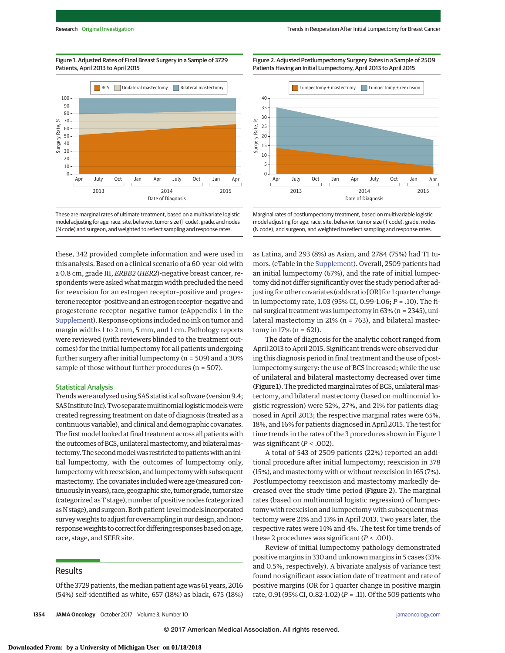## Figure 1. Adjusted Rates of Final Breast Surgery in a Sample of 3729 Patients, April 2013 to April 2015



These are marginal rates of ultimate treatment, based on a multivariate logistic model adjusting for age, race, site, behavior, tumor size (T code), grade, and nodes (N code) and surgeon, and weighted to reflect sampling and response rates.

these, 342 provided complete information and were used in this analysis. Based on a clinical scenario of a 60-year-old with a 0.8 cm, grade III, *ERBB2* (*HER2*)-negative breast cancer, respondents were asked what margin width precluded the need for reexcision for an estrogen receptor–positive and progesterone receptor–positive and an estrogen receptor–negative and progesterone receptor–negative tumor (eAppendix 1 in the [Supplement\)](http://jama.jamanetwork.com/article.aspx?doi=10.1001/jamaoncol.2017.0774&utm_campaign=articlePDF%26utm_medium=articlePDFlink%26utm_source=articlePDF%26utm_content=jamaoncol.2017.0774). Response options included no ink on tumor and margin widths 1 to 2 mm, 5 mm, and 1 cm. Pathology reports were reviewed (with reviewers blinded to the treatment outcomes) for the initial lumpectomy for all patients undergoing further surgery after initial lumpectomy (n = 509) and a 30% sample of those without further procedures ( $n = 507$ ).

#### Statistical Analysis

Trends were analyzed using SAS statistical software (version 9.4; SAS Institute Inc). Two separate multinomial logistic models were created regressing treatment on date of diagnosis (treated as a continuous variable), and clinical and demographic covariates. The first model looked at final treatment across all patients with the outcomes of BCS, unilateral mastectomy, and bilateral mastectomy. The second model was restricted to patients with an initial lumpectomy, with the outcomes of lumpectomy only, lumpectomy with reexcision, and lumpectomy with subsequent mastectomy. The covariates included were age (measured continuously in years), race, geographic site, tumor grade, tumor size (categorized as T stage), number of positive nodes (categorized as N stage), and surgeon. Both patient-level models incorporated survey weights to adjust for oversampling in our design, and nonresponse weights to correct for differing responses based on age, race, stage, and SEER site.

# Results

Of the 3729 patients, themedian patient age was 61 years, 2016 (54%) self-identified as white, 657 (18%) as black, 675 (18%)

Figure 2. Adjusted Postlumpectomy Surgery Rates in a Sample of 2509 Patients Having an Initial Lumpectomy, April 2013 to April 2015



Marginal rates of postlumpectomy treatment, based on multivariable logistic model adjusting for age, race, site, behavior, tumor size (T code), grade, nodes (N code), and surgeon, and weighted to reflect sampling and response rates.

as Latina, and 293 (8%) as Asian, and 2784 (75%) had T1 tumors. (eTable in the [Supplement\)](http://jama.jamanetwork.com/article.aspx?doi=10.1001/jamaoncol.2017.0774&utm_campaign=articlePDF%26utm_medium=articlePDFlink%26utm_source=articlePDF%26utm_content=jamaoncol.2017.0774). Overall, 2509 patients had an initial lumpectomy (67%), and the rate of initial lumpectomy did not differ significantly over the study period after adjusting for other covariates (odds ratio [OR] for 1 quarter change in lumpectomy rate, 1.03 (95% CI, 0.99-1.06; *P* = .10). The final surgical treatment was lumpectomy in 63% (n = 2345), unilateral mastectomy in 21% (n = 763), and bilateral mastectomy in 17% (n = 621).

The date of diagnosis for the analytic cohort ranged from April 2013 to April 2015. Significant trends were observed during this diagnosis period in final treatment and the use of postlumpectomy surgery: the use of BCS increased; while the use of unilateral and bilateral mastectomy decreased over time (Figure 1). The predicted marginal rates of BCS, unilateral mastectomy, and bilateral mastectomy (based on multinomial logistic regression) were 52%, 27%, and 21% for patients diagnosed in April 2013; the respective marginal rates were 65%, 18%, and 16% for patients diagnosed in April 2015. The test for time trends in the rates of the 3 procedures shown in Figure 1 was significant (*P* < .002).

A total of 543 of 2509 patients (22%) reported an additional procedure after initial lumpectomy; reexcision in 378 (15%), and mastectomy with or without reexcision in 165 (7%). Postlumpectomy reexcision and mastectomy markedly decreased over the study time period (Figure 2). The marginal rates (based on multinomial logistic regression) of lumpectomy with reexcision and lumpectomy with subsequent mastectomy were 21% and 13% in April 2013. Two years later, the respective rates were 14% and 4%. The test for time trends of these 2 procedures was significant (*P* < .001).

Review of initial lumpectomy pathology demonstrated positive margins in 330 and unknown margins in 5 cases (33% and 0.5%, respectively). A bivariate analysis of variance test found no significant association date of treatment and rate of positive margins (OR for 1 quarter change in positive margin rate, 0.91 (95% CI, 0.82-1.02) (*P* = .11). Of the 509 patients who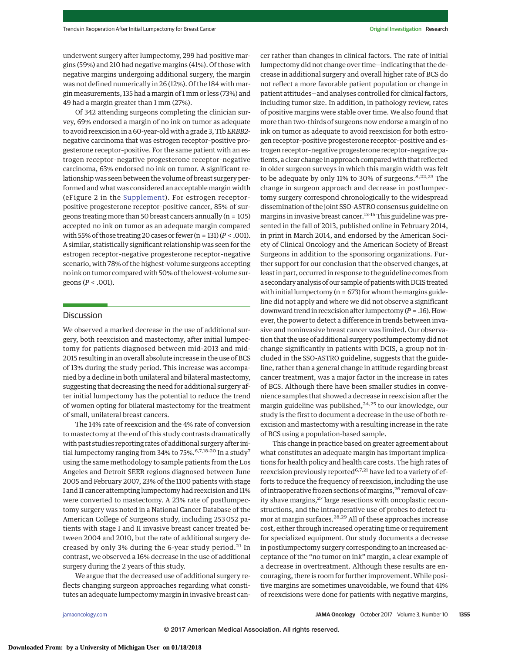underwent surgery after lumpectomy, 299 had positive margins (59%) and 210 had negative margins (41%). Of those with negative margins undergoing additional surgery, the margin was not defined numerically in 26 (12%). Of the 184 with margin measurements, 135 had a margin of 1 mm or less (73%) and 49 had a margin greater than 1 mm (27%).

Of 342 attending surgeons completing the clinician survey, 69% endorsed a margin of no ink on tumor as adequate to avoid reexcision in a 60-year-old with a grade 3, T1b *ERBB2* negative carcinoma that was estrogen receptor–positive progesterone receptor–positive. For the same patient with an estrogen receptor–negative progesterone receptor–negative carcinoma, 63% endorsed no ink on tumor. A significant relationship was seen between the volume of breast surgery performed and what was considered an acceptable margin width (eFigure 2 in the [Supplement\)](http://jama.jamanetwork.com/article.aspx?doi=10.1001/jamaoncol.2017.0774&utm_campaign=articlePDF%26utm_medium=articlePDFlink%26utm_source=articlePDF%26utm_content=jamaoncol.2017.0774). For estrogen receptor– positive progesterone receptor–positive cancer, 85% of surgeons treating more than 50 breast cancers annually (n = 105) accepted no ink on tumor as an adequate margin compared with 55% of those treating 20 cases or fewer ( $n = 131$ ) ( $P < .001$ ). A similar, statistically significant relationship was seen for the estrogen receptor–negative progesterone receptor–negative scenario, with 78% of the highest-volume surgeons accepting no ink on tumor compared with 50% of the lowest-volume surgeons (*P* < .001).

# **Discussion**

We observed a marked decrease in the use of additional surgery, both reexcision and mastectomy, after initial lumpectomy for patients diagnosed between mid-2013 and mid-2015 resulting in an overall absolute increase in the use of BCS of 13% during the study period. This increase was accompanied by a decline in both unilateral and bilateral mastectomy, suggesting that decreasing the need for additional surgery after initial lumpectomy has the potential to reduce the trend of women opting for bilateral mastectomy for the treatment of small, unilateral breast cancers.

The 14% rate of reexcision and the 4% rate of conversion to mastectomy at the end of this study contrasts dramatically with past studies reporting rates of additional surgery after initial lumpectomy ranging from 34% to 75%.<sup>6,7,18-20</sup> In a study<sup>7</sup> using the same methodology to sample patients from the Los Angeles and Detroit SEER regions diagnosed between June 2005 and February 2007, 23% of the 1100 patients with stage I and II cancer attempting lumpectomy had reexcision and 11% were converted to mastectomy. A 23% rate of postlumpectomy surgery was noted in a National Cancer Database of the American College of Surgeons study, including 253 052 patients with stage I and II invasive breast cancer treated between 2004 and 2010, but the rate of additional surgery decreased by only 3% during the 6-year study period. $^{21}$  In contrast, we observed a 16% decrease in the use of additional surgery during the 2 years of this study.

We argue that the decreased use of additional surgery reflects changing surgeon approaches regarding what constitutes an adequate lumpectomy margin in invasive breast cancer rather than changes in clinical factors. The rate of initial lumpectomy did not change over time—indicating that the decrease in additional surgery and overall higher rate of BCS do not reflect a more favorable patient population or change in patient attitudes—and analyses controlled for clinical factors, including tumor size. In addition, in pathology review, rates of positive margins were stable over time. We also found that more than two-thirds of surgeons now endorse a margin of no ink on tumor as adequate to avoid reexcision for both estrogen receptor–positive progesterone receptor–positive and estrogen receptor–negative progesterone receptor–negative patients, a clear change in approach compared with that reflected in older surgeon surveys in which this margin width was felt to be adequate by only 11% to 30% of surgeons.<sup>8,22,23</sup> The change in surgeon approach and decrease in postlumpectomy surgery correspond chronologically to the widespread dissemination of the joint SSO-ASTRO consensus guideline on margins in invasive breast cancer.<sup>13-15</sup> This guideline was presented in the fall of 2013, published online in February 2014, in print in March 2014, and endorsed by the American Society of Clinical Oncology and the American Society of Breast Surgeons in addition to the sponsoring organizations. Further support for our conclusion that the observed changes, at least in part, occurred in response to the guideline comes from a secondary analysis of our sample of patientswith DCIS treated with initial lumpectomy ( $n = 673$ ) for whom the margins guideline did not apply and where we did not observe a significant downward trend in reexcision after lumpectomy (*P* = .16). However, the power to detect a difference in trends between invasive and noninvasive breast cancer was limited. Our observation that the use of additional surgery postlumpectomy did not change significantly in patients with DCIS, a group not included in the SSO-ASTRO guideline, suggests that the guideline, rather than a general change in attitude regarding breast cancer treatment, was a major factor in the increase in rates of BCS. Although there have been smaller studies in convenience samples that showed a decrease in reexcision after the margin guideline was published,<sup>24,25</sup> to our knowledge, our study is the first to document a decrease in the use of both reexcision and mastectomy with a resulting increase in the rate of BCS using a population-based sample.

This change in practice based on greater agreement about what constitutes an adequate margin has important implications for health policy and health care costs. The high rates of reexcision previously reported<sup>6,7,21</sup> have led to a variety of efforts to reduce the frequency of reexcision, including the use of intraoperative frozen sections of margins,<sup>26</sup> removal of cavity shave margins,<sup>27</sup> large resections with oncoplastic reconstructions, and the intraoperative use of probes to detect tumor at margin surfaces.<sup>28,29</sup> All of these approaches increase cost, either through increased operating time or requirement for specialized equipment. Our study documents a decrease in postlumpectomy surgery corresponding to an increased acceptance of the "no tumor on ink" margin, a clear example of a decrease in overtreatment. Although these results are encouraging, there is room for further improvement.While positive margins are sometimes unavoidable, we found that 41% of reexcisions were done for patients with negative margins,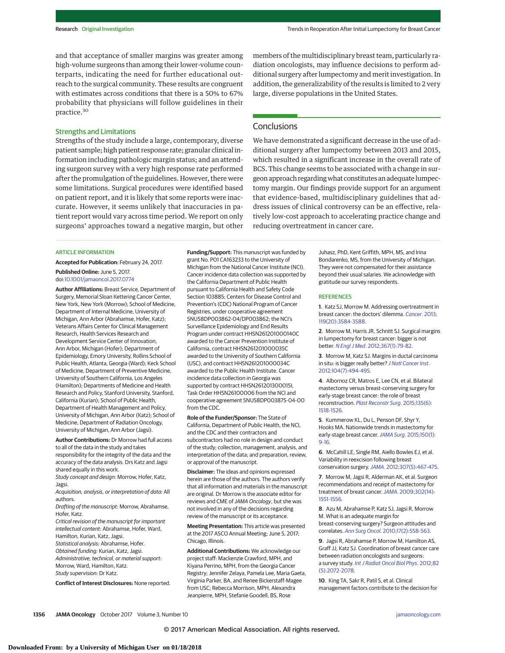and that acceptance of smaller margins was greater among high-volume surgeons than among their lower-volume counterparts, indicating the need for further educational outreach to the surgical community. These results are congruent with estimates across conditions that there is a 50% to 67% probability that physicians will follow guidelines in their practice.<sup>30</sup>

# Strengths and Limitations

Strengths of the study include a large, contemporary, diverse patient sample; high patient response rate; granular clinical information including pathologic margin status; and an attending surgeon survey with a very high response rate performed after the promulgation of the guidelines. However, there were some limitations. Surgical procedures were identified based on patient report, and it is likely that some reports were inaccurate. However, it seems unlikely that inaccuracies in patient report would vary across time period. We report on only surgeons' approaches toward a negative margin, but other members of the multidisciplinary breast team, particularly radiation oncologists, may influence decisions to perform additional surgery after lumpectomy and merit investigation. In addition, the generalizability of the results is limited to 2 very large, diverse populations in the United States.

# **Conclusions**

We have demonstrated a significant decrease in the use of additional surgery after lumpectomy between 2013 and 2015, which resulted in a significant increase in the overall rate of BCS. This change seems to be associated with a change in surgeon approach regardingwhat constitutes an adequate lumpectomy margin. Our findings provide support for an argument that evidence-based, multidisciplinary guidelines that address issues of clinical controversy can be an effective, relatively low-cost approach to accelerating practice change and reducing overtreatment in cancer care.

#### **ARTICLE INFORMATION**

**Accepted for Publication:** February 24, 2017. **Published Online:** June 5, 2017. doi[:10.1001/jamaoncol.2017.0774](http://jama.jamanetwork.com/article.aspx?doi=10.1001/jamaoncol.2017.0774&utm_campaign=articlePDF%26utm_medium=articlePDFlink%26utm_source=articlePDF%26utm_content=jamaoncol.2017.0774)

**Author Affiliations:** Breast Service, Department of Surgery, Memorial Sloan Kettering Cancer Center, New York, New York (Morrow); School of Medicine, Department of Internal Medicine, University of Michigan, Ann Arbor (Abrahamse, Hofer, Katz); Veterans Affairs Center for Clinical Management Research, Health Services Research and Development Service Center of Innovation, Ann Arbor, Michigan (Hofer); Department of Epidemiology, Emory University, Rollins School of Public Health, Atlanta, Georgia (Ward); Keck School of Medicine, Department of Preventive Medicine, University of Southern California, Los Angeles (Hamilton); Departments of Medicine and Health Research and Policy, Stanford University, Stanford, California (Kurian); School of Public Health, Department of Health Management and Policy, University of Michigan, Ann Arbor (Katz); School of Medicine, Department of Radiation Oncology, University of Michigan, Ann Arbor (Jagsi).

**Author Contributions:** Dr Morrow had full access to all of the data in the study and takes responsibility for the integrity of the data and the accuracy of the data analysis. Drs Katz and Jagsi shared equally in this work.

Study concept and design: Morrow, Hofer, Katz, Jagsi.

Acquisition, analysis, or interpretation of data: All authors.

Drafting of the manuscript: Morrow, Abrahamse, Hofer, Katz.

Critical revision of the manuscript for important intellectual content: Abrahamse, Hofer, Ward, Hamilton, Kurian, Katz, Jagsi. Statistical analysis: Abrahamse, Hofer.

Obtained funding: Kurian, Katz, Jagsi. Administrative, technical, or material support: Morrow, Ward, Hamilton, Katz. Study supervision: Dr Katz.

**Conflict of Interest Disclosures:** None reported.

**Funding/Support:** This manuscript was funded by grant No. P01 CA163233 to the University of Michigan from the National Cancer Institute (NCI). Cancer incidence data collection was supported by the California Department of Public Health pursuant to California Health and Safety Code Section 103885; Centers for Disease Control and Prevention's (CDC) National Program of Cancer Registries, under cooperative agreement 5NU58DP003862-04/DP003862; the NCI's Surveillance Epidemiology and End Results Program under contract HHSN261201000140C awarded to the Cancer Prevention Institute of California, contract HHSN261201000035C awarded to the University of Southern California (USC), and contract HHSN261201000034C awarded to the Public Health Institute. Cancer incidence data collection in Georgia was supported by contract HHSN261201300015I, Task Order HHSN26100006 from the NCI and cooperative agreement 5NU58DP003875-04-00 from the CDC.

**Role of the Funder/Sponsor:** The State of California, Department of Public Health, the NCI, and the CDC and their contractors and subcontractors had no role in design and conduct of the study; collection, management, analysis, and interpretation of the data; and preparation, review, or approval of the manuscript.

**Disclaimer:** The ideas and opinions expressed herein are those of the authors. The authors verify that all information and materials in the manuscript are original. Dr Morrow is the associate editor for reviews and CME of JAMA Oncology, but she was not involved in any of the decisions regarding review of the manuscript or its acceptance.

**Meeting Presentation:** This article was presented at the 2017 ASCO Annual Meeting; June 5, 2017; Chicago, Illinois.

**Additional Contributions:** We acknowledge our project staff: Mackenzie Crawford, MPH, and Kiyana Perrino, MPH, from the Georgia Cancer Registry; Jennifer Zelaya, Pamela Lee, Maria Gaeta, Virginia Parker, BA, and Renee Bickerstaff-Magee from USC; Rebecca Morrison, MPH, Alexandra Jeanpierre, MPH, Stefanie Goodell, BS, Rose

Juhasz, PhD, Kent Griffith, MPH, MS, and Irina Bondarenko, MS, from the University of Michigan. They were not compensated for their assistance beyond their usual salaries. We acknowledge with gratitude our survey respondents.

#### **REFERENCES**

**1**. Katz SJ, Morrow M. Addressing overtreatment in breast cancer: the doctors' dilemma. [Cancer](https://www.ncbi.nlm.nih.gov/pubmed/23913512). 2013; [119\(20\):3584-3588.](https://www.ncbi.nlm.nih.gov/pubmed/23913512)

**2**. Morrow M, Harris JR, Schnitt SJ. Surgical margins in lumpectomy for breast cancer: bigger is not better. N Engl J Med[. 2012;367\(1\):79-82.](https://www.ncbi.nlm.nih.gov/pubmed/22762325)

**3**. Morrow M, Katz SJ. Margins in ductal carcinoma in situ: is bigger really better? [J Natl Cancer Inst](https://www.ncbi.nlm.nih.gov/pubmed/22440679). [2012;104\(7\):494-495.](https://www.ncbi.nlm.nih.gov/pubmed/22440679)

**4**. Albornoz CR, Matros E, Lee CN, et al. Bilateral mastectomy versus breast-conserving surgery for early-stage breast cancer: the role of breast reconstruction. [Plast Reconstr Surg](https://www.ncbi.nlm.nih.gov/pubmed/26017588). 2015;135(6): [1518-1526.](https://www.ncbi.nlm.nih.gov/pubmed/26017588)

**5**. Kummerow KL, Du L, Penson DF, Shyr Y, Hooks MA. Nationwide trends in mastectomy for early-stage breast cancer. JAMA Surg[. 2015;150\(1\):](https://www.ncbi.nlm.nih.gov/pubmed/25408966) [9-16.](https://www.ncbi.nlm.nih.gov/pubmed/25408966)

**6**. McCahill LE, Single RM, Aiello Bowles EJ, et al. Variability in reexcision following breast conservation surgery.JAMA[. 2012;307\(5\):467-475.](https://www.ncbi.nlm.nih.gov/pubmed/22298678)

**7**. Morrow M, Jagsi R, Alderman AK, et al. Surgeon recommendations and receipt of mastectomy for treatment of breast cancer.JAMA[. 2009;302\(14\):](https://www.ncbi.nlm.nih.gov/pubmed/19826024) [1551-1556.](https://www.ncbi.nlm.nih.gov/pubmed/19826024)

**8**. Azu M, Abrahamse P, Katz SJ, Jagsi R, Morrow M. What is an adequate margin for breast-conserving surgery? Surgeon attitudes and correlates. Ann Surg Oncol[. 2010;17\(2\):558-563.](https://www.ncbi.nlm.nih.gov/pubmed/19847566)

**9**. Jagsi R, Abrahamse P, Morrow M, Hamilton AS, Graff JJ, Katz SJ. Coordination of breast cancer care between radiation oncologists and surgeons: a survey study. [Int J Radiat Oncol Biol Phys](https://www.ncbi.nlm.nih.gov/pubmed/21477932). 2012;82 [\(5\):2072-2078.](https://www.ncbi.nlm.nih.gov/pubmed/21477932)

**10**. King TA, Sakr R, Patil S, et al. Clinical management factors contribute to the decision for

© 2017 American Medical Association. All rights reserved.